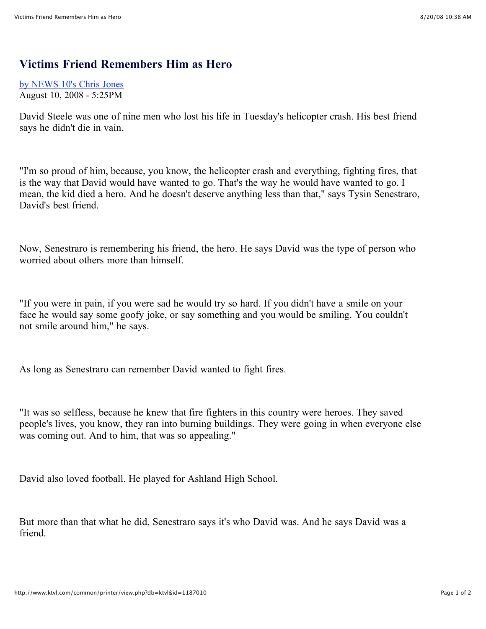## **Victims Friend Remembers Him as Hero**

[by NEWS](mailto:) 10's Chris Jones August 10, 2008 - 5:25PM

David Steele was one of nine men who lost his life in Tuesday's helicopter crash. His best friend says he didn't die in vain.

"I'm so proud of him, because, you know, the helicopter crash and everything, fighting fires, that is the way that David would have wanted to go. That's the way he would have wanted to go. I mean, the kid died a hero. And he doesn't deserve anything less than that," says Tysin Senestraro, David's best friend.

Now, Senestraro is remembering his friend, the hero. He says David was the type of person who worried about others more than himself.

"If you were in pain, if you were sad he would try so hard. If you didn't have a smile on your face he would say some goofy joke, or say something and you would be smiling. You couldn't not smile around him," he says.

As long as Senestraro can remember David wanted to fight fires.

"It was so selfless, because he knew that fire fighters in this country were heroes. They saved people's lives, you know, they ran into burning buildings. They were going in when everyone else was coming out. And to him, that was so appealing."

David also loved football. He played for Ashland High School.

But more than that what he did, Senestraro says it's who David was. And he says David was a friend.